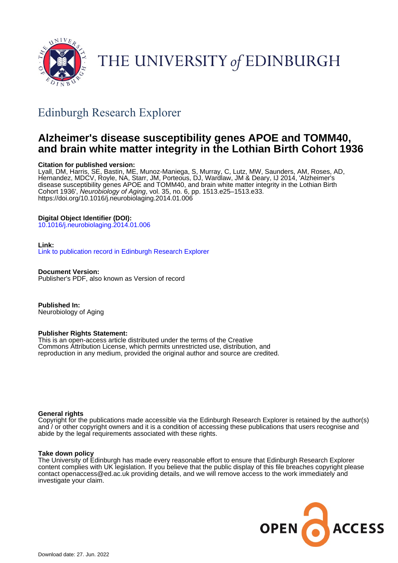

# THE UNIVERSITY of EDINBURGH

# Edinburgh Research Explorer

# **Alzheimer's disease susceptibility genes APOE and TOMM40, and brain white matter integrity in the Lothian Birth Cohort 1936**

### **Citation for published version:**

Lyall, DM, Harris, SE, Bastin, ME, Munoz-Maniega, S, Murray, C, Lutz, MW, Saunders, AM, Roses, AD, Hernandez, MDCV, Royle, NA, Starr, JM, Porteous, DJ, Wardlaw, JM & Deary, IJ 2014, 'Alzheimer's disease susceptibility genes APOE and TOMM40, and brain white matter integrity in the Lothian Birth Cohort 1936', Neurobiology of Aging, vol. 35, no. 6, pp. 1513.e25-1513.e33. <https://doi.org/10.1016/j.neurobiolaging.2014.01.006>

### **Digital Object Identifier (DOI):**

[10.1016/j.neurobiolaging.2014.01.006](https://doi.org/10.1016/j.neurobiolaging.2014.01.006)

### **Link:**

[Link to publication record in Edinburgh Research Explorer](https://www.research.ed.ac.uk/en/publications/2a5b4193-613a-4a7f-a5b4-b8efb7bfa8a1)

**Document Version:** Publisher's PDF, also known as Version of record

**Published In:** Neurobiology of Aging

### **Publisher Rights Statement:**

This is an open-access article distributed under the terms of the Creative Commons Attribution License, which permits unrestricted use, distribution, and reproduction in any medium, provided the original author and source are credited.

### **General rights**

Copyright for the publications made accessible via the Edinburgh Research Explorer is retained by the author(s) and / or other copyright owners and it is a condition of accessing these publications that users recognise and abide by the legal requirements associated with these rights.

### **Take down policy**

The University of Edinburgh has made every reasonable effort to ensure that Edinburgh Research Explorer content complies with UK legislation. If you believe that the public display of this file breaches copyright please contact openaccess@ed.ac.uk providing details, and we will remove access to the work immediately and investigate your claim.

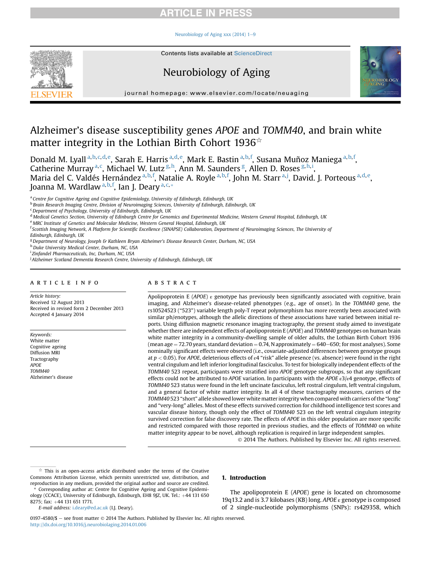### **RTICLE IN PRESS**

### [Neurobiology of Aging xxx \(2014\) 1](http://dx.doi.org/10.1016/j.neurobiolaging.2014.01.006)-[9](http://dx.doi.org/10.1016/j.neurobiolaging.2014.01.006)



Contents lists available at ScienceDirect

# Neurobiology of Aging



journal homepage: [www.elsevier.com/locate/neuaging](http://www.elsevier.com/locate/neuaging)

## Alzheimer's disease susceptibility genes APOE and TOMM40, and brain white matter integrity in the Lothian Birth Cohort 1936 $\star$

Donald M. Lyall <sup>a,b,c,d,e</sup>, Sarah E. Harris <sup>a,d,e</sup>, Mark E. Bastin <sup>a,b,f</sup>, Susana Muñoz Maniega <sup>a,b,f</sup>, Catherine Murray<sup>a,c</sup>, Michael W. Lutz<sup>g,h</sup>, Ann M. Saunders<sup>g</sup>, Allen D. Roses<sup>g,h,i</sup>, Maria del C. Valdés Hernández <sup>a, b, f</sup>, Natalie A. Royle <sup>a, b, f</sup>, John M. Starr <sup>a, j</sup>, David. J. Porteous <sup>a, d, e</sup>, Joanna M. Wardlaw <sup>a, b, f</sup>, Ian J. Deary <sup>a, c,</sup> \*

<sup>a</sup> Centre for Cognitive Ageing and Cognitive Epidemiology, University of Edinburgh, Edinburgh, UK

**b Brain Research Imaging Centre, Division of Neuroimaging Sciences, University of Edinburgh, Edinburgh, UK** 

 $c$  Department of Psychology, University of Edinburgh, Edinburgh, UK

<sup>d</sup> Medical Genetics Section, University of Edinburgh Centre for Genomics and Experimental Medicine, Western General Hospital, Edinburgh, UK

<sup>e</sup> MRC Institute of Genetics and Molecular Medicine, Western General Hospital, Edinburgh, UK

<sup>t</sup>Scottish Imaging Network, A Platform for Scientific Excellence (SINAPSE) Collaboration, Department of Neuroimaging Sciences, The University of Edinburgh, Edinburgh, UK

<sup>g</sup> Department of Neurology, Joseph & Kathleen Bryan Alzheimer's Disease Research Center, Durham, NC, USA

h Duke University Medical Center, Durham, NC, USA

i Zinfandel Pharmaceuticals, Inc, Durham, NC, USA

<sup>j</sup> Alzheimer Scotland Dementia Research Centre, University of Edinburgh, Edinburgh, UK

#### article info

Article history: Received 12 August 2013 Received in revised form 2 December 2013 Accepted 4 January 2014

Keywords: White matter Cognitive ageing Diffusion MRI Tractography APOE TOMM40 Alzheimer's disease

### **ABSTRACT**

Apolipoprotein E (APOE)  $\varepsilon$  genotype has previously been significantly associated with cognitive, brain imaging, and Alzheimer's disease-related phenotypes (e.g., age of onset). In the TOMM40 gene, the rs10524523 ("523") variable length poly-T repeat polymorphism has more recently been associated with similar ph/enotypes, although the allelic directions of these associations have varied between initial reports. Using diffusion magnetic resonance imaging tractography, the present study aimed to investigate whether there are independent effects of apolipoprotein E (APOE) and TOMM40 genotypes on human brain white matter integrity in a community-dwelling sample of older adults, the Lothian Birth Cohort 1936 (mean age  $=$  72.70 years, standard deviation  $=$  0.74, N approximately  $=$  640 $-$ 650; for most analyses). Some nominally significant effects were observed (i.e., covariate-adjusted differences between genotype groups at  $p < 0.05$ ). For APOE, deleterious effects of  $\varepsilon$ 4 "risk" allele presence (vs. absence) were found in the right ventral cingulum and left inferior longitudinal fasciculus. To test for biologically independent effects of the TOMM40 523 repeat, participants were stratified into APOE genotype subgroups, so that any significant effects could not be attributed to APOE variation. In participants with the APOE  $\varepsilon 3/\varepsilon 4$  genotype, effects of TOMM40 523 status were found in the left uncinate fasciculus, left rostral cingulum, left ventral cingulum, and a general factor of white matter integrity. In all 4 of these tractography measures, carriers of the TOMM40 523 "short" allele showed lower white matter integrity when compared with carriers of the "long" and "very-long" alleles. Most of these effects survived correction for childhood intelligence test scores and vascular disease history, though only the effect of TOMM40 523 on the left ventral cingulum integrity survived correction for false discovery rate. The effects of APOE in this older population are more specific and restricted compared with those reported in previous studies, and the effects of TOMM40 on white matter integrity appear to be novel, although replication is required in large independent samples. 2014 The Authors. Published by Elsevier Inc. All rights reserved.

ology (CCACE), University of Edinburgh, Edinburgh, EH8 9JZ, UK. Tel.: +44 131 650 8275; fax:  $+44$  131 651 1771.

E-mail address: [i.deary@ed.ac.uk](mailto:i.deary@ed.ac.uk) (I.J. Deary).

### 1. Introduction

The apolipoprotein E (APOE) gene is located on chromosome 19q13.2 and is 3.7 kilobases (KB) long. APOE  $\varepsilon$  genotype is composed of 2 single-nucleotide polymorphisms (SNPs): rs429358, which

0197-4580/\$ - see front matter © 2014 The Authors. Published by Elsevier Inc. All rights reserved. <http://dx.doi.org/10.1016/j.neurobiolaging.2014.01.006>

 $\frac{1}{\sqrt{2}}$  This is an open-access article distributed under the terms of the Creative Commons Attribution License, which permits unrestricted use, distribution, and reproduction in any medium, provided the original author and source are credited. Corresponding author at: Centre for Cognitive Ageing and Cognitive Epidemi-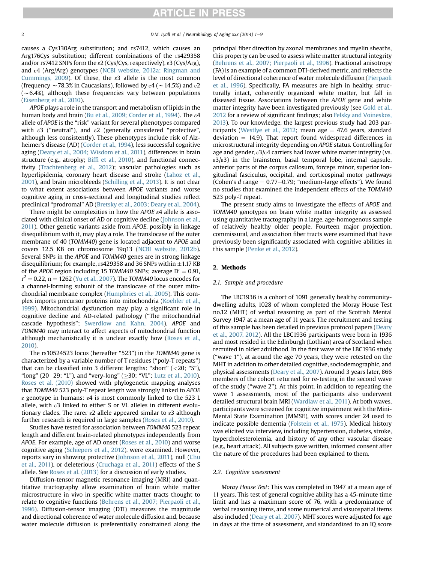causes a Cys130Arg substitution; and rs7412, which causes an Arg176Cys substitution; different combinations of the rs429358 and/or rs7412 SNPs form the  $\varepsilon$ 2 (Cys/Cys, respectively),  $\varepsilon$ 3 (Cys/Arg), and ε4 (Arg/Arg) genotypes [\(NCBI website, 2012a; Ringman and](#page-8-0) [Cummings, 2009](#page-8-0)). Of these, the  $\varepsilon$ 3 allele is the most common (frequency  $\sim$  78.3% in Caucasians), followed by  $\varepsilon$ 4 ( $\sim$  14.5%) and  $\varepsilon$ 2  $(-6.4%)$ , although these frequencies vary between populations [\(Eisenberg et al., 2010](#page-8-0)).

APOE plays a role in the transport and metabolism of lipids in the human body and brain [\(Bu et al., 2009; Corder et al., 1994\)](#page-8-0). The ε4 allele of APOE is the "risk" variant for several phenotypes compared with  $\epsilon$ 3 ("neutral"), and  $\epsilon$ 2 (generally considered "protective", although less consistently). These phenotypes include risk of Alzheimer's disease (AD) ([Corder et al., 1994](#page-8-0)), less successful cognitive aging [\(Deary et al., 2004; Wisdom et al., 2011\)](#page-8-0), differences in brain structure (e.g., atrophy; Biffi [et al., 2010\)](#page-8-0), and functional connectivity ([Trachtenberg et al., 2012](#page-9-0)); vascular pathologies such as hyperlipidemia, coronary heart disease and stroke [\(Lahoz et al.,](#page-8-0) [2001](#page-8-0)), and brain microbleeds ([Schilling et al., 2013\)](#page-8-0). It is not clear to what extent associations between APOE variants and worse cognitive aging in cross-sectional and longitudinal studies reflect preclinical "prodromal" AD [\(Bretsky et al., 2003; Deary et al., 2004\)](#page-8-0).

There might be complexities in how the APOE ε4 allele is associated with clinical onset of AD or cognitive decline [\(Johnson et al.,](#page-8-0) [2011\)](#page-8-0). Other genetic variants aside from APOE, possibly in linkage disequilibrium with it, may play a role. The translocase of the outer membrane of 40 (TOMM40) gene is located adjacent to APOE and covers 12.5 KB on chromosome 19q13 ([NCBI website, 2012b\)](#page-8-0). Several SNPs in the APOE and TOMM40 genes are in strong linkage disequilibrium; for example, rs429358 and 36 SNPs within  $\pm$ 1.17 KB of the APOE region including 15 TOMM40 SNPs; average  $D' = 0.91$ ,  $r^2 = 0.22$ , n = 1262 [\(Yu et al., 2007\)](#page-9-0). The TOMM40 locus encodes for a channel-forming subunit of the translocase of the outer mitochondrial membrane complex ([Humphries et al., 2005\)](#page-8-0). This complex imports precursor proteins into mitochondria [\(Koehler et al.,](#page-8-0) [1999\)](#page-8-0). Mitochondrial dysfunction may play a significant role in cognitive decline and AD-related pathology ("The mitochondrial cascade hypothesis"; [Swerdlow and Kahn, 2004\)](#page-9-0). APOE and TOMM40 may interact to affect aspects of mitochondrial function although mechanistically it is unclear exactly how [\(Roses et al.,](#page-8-0) [2010](#page-8-0)).

The rs10524523 locus (hereafter "523") in the TOMM40 gene is characterized by a variable number of T residues ("poly-T repeats") that can be classified into 3 different lengths: "short"  $\left($  <20; "S"), "long" (20–29; "L"), and "very-long" ( $\geq$ 30; "VL"; [Lutz et al., 2010\)](#page-8-0). [Roses et al. \(2010\)](#page-8-0) showed with phylogenetic mapping analyses that TOMM40 523 poly-T repeat length was strongly linked to APOE ε genotype in humans: ε4 is most commonly linked to the 523 L allele, with ε3 linked to either S or VL alleles in different evolutionary clades. The rarer  $\epsilon$ 2 allele appeared similar to  $\epsilon$ 3 although further research is required in large samples [\(Roses et al., 2010\)](#page-8-0).

Studies have tested for association between TOMM40 523 repeat length and different brain-related phenotypes independently from APOE. For example, age of AD onset [\(Roses et al., 2010](#page-8-0)) and worse cognitive aging [\(Schiepers et al., 2012\)](#page-8-0), were examined. However, reports vary in showing protective [\(Johnson et al., 2011\)](#page-8-0), null [\(Chu](#page-8-0) [et al., 2011\)](#page-8-0), or deleterious ([Cruchaga et al., 2011](#page-8-0)) effects of the S allele. See [Roses et al. \(2013\)](#page-8-0) for a discussion of early studies.

Diffusion-tensor magnetic resonance imaging (MRI) and quantitative tractography allow examination of brain white matter microstructure in vivo in specific white matter tracts thought to relate to cognitive functions [\(Behrens et al., 2007; Pierpaoli et al.,](#page-8-0) [1996\)](#page-8-0). Diffusion-tensor imaging (DTI) measures the magnitude and directional coherence of water molecule diffusion and, because water molecule diffusion is preferentially constrained along the

principal fiber direction by axonal membranes and myelin sheaths, this property can be used to assess white matter structural integrity ([Behrens et al., 2007; Pierpaoli et al., 1996](#page-8-0)). Fractional anisotropy (FA) is an example of a common DTI-derived metric, and reflects the level of directional coherence of water molecule diffusion [\(Pierpaoli](#page-8-0) [et al., 1996](#page-8-0)). Specifically, FA measures are high in healthy, structurally intact, coherently organized white matter, but fall in diseased tissue. Associations between the APOE gene and white matter integrity have been investigated previously (see [Gold et al.,](#page-8-0) [2012](#page-8-0) for a review of significant findings; also [Felsky and Voineskos,](#page-8-0) [2013\)](#page-8-0). To our knowledge, the largest previous study had 203 par-ticipants ([Westlye et al., 2012](#page-9-0); mean age  $=$  47.6 years, standard deviation  $= 14.9$ ). That report found widespread differences in microstructural integrity depending on APOE status. Controlling for age and gender,  $\varepsilon 3/\varepsilon 4$  carriers had lower white matter integrity (vs.  $\varepsilon$ 3/ $\varepsilon$ 3) in the brainstem, basal temporal lobe, internal capsule, anterior parts of the corpus callosum, forceps minor, superior longitudinal fasciculus, occipital, and corticospinal motor pathways (Cohen's d range  $= 0.77-0.79$ ; "medium-large effects"). We found no studies that examined the independent effects of the TOMM40 523 poly-T repeat.

The present study aims to investigate the effects of APOE and TOMM40 genotypes on brain white matter integrity as assessed using quantitative tractography in a large, age-homogenous sample of relatively healthy older people. Fourteen major projection, commissural, and association fiber tracts were examined that have previously been significantly associated with cognitive abilities in this sample ([Penke et al., 2012](#page-8-0)).

### 2. Methods

#### 2.1. Sample and procedure

The LBC1936 is a cohort of 1091 generally healthy communitydwelling adults, 1028 of whom completed the Moray House Test no.12 (MHT) of verbal reasoning as part of the Scottish Mental Survey 1947 at a mean age of 11 years. The recruitment and testing of this sample has been detailed in previous protocol papers [\(Deary](#page-8-0) [et al., 2007, 2012\)](#page-8-0). All the LBC1936 participants were born in 1936 and most resided in the Edinburgh (Lothian) area of Scotland when recruited in older adulthood. In the first wave of the LBC1936 study ("wave 1"), at around the age 70 years, they were retested on the MHT in addition to other detailed cognitive, sociodemographic, and physical assessments [\(Deary et al., 2007\)](#page-8-0). Around 3 years later, 866 members of the cohort returned for re-testing in the second wave of the study ("wave 2"). At this point, in addition to repeating the wave 1 assessments, most of the participants also underwent detailed structural brain MRI [\(Wardlaw et al., 2011](#page-9-0)). At both waves, participants were screened for cognitive impairment with the Mini-Mental State Examination (MMSE), with scores under 24 used to indicate possible dementia [\(Folstein et al., 1975\)](#page-8-0). Medical history was elicited via interview, including hypertension, diabetes, stroke, hypercholesterolemia, and history of any other vascular disease (e.g., heart attack). All subjects gave written, informed consent after the nature of the procedures had been explained to them.

### 2.2. Cognitive assessment

Moray House Test: This was completed in 1947 at a mean age of 11 years. This test of general cognitive ability has a 45-minute time limit and has a maximum score of 76, with a predominance of verbal reasoning items, and some numerical and visuospatial items also included [\(Deary et al., 2007\)](#page-8-0). MHT scores were adjusted for age in days at the time of assessment, and standardized to an IQ score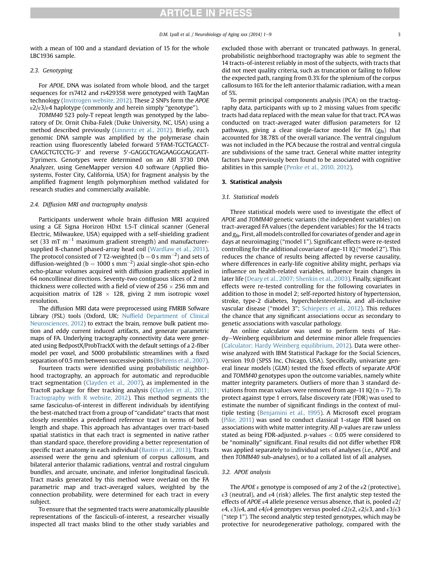### **ARTICLE IN PRESS**

with a mean of 100 and a standard deviation of 15 for the whole LBC1936 sample.

#### 2.3. Genotyping

For APOE, DNA was isolated from whole blood, and the target sequences for rs7412 and rs429358 were genotyped with TaqMan technology [\(Invitrogen website, 2012\)](#page-8-0). These 2 SNPs form the APOE  $\varepsilon$ 2/ $\varepsilon$ 3/ $\varepsilon$ 4 haplotype (commonly and herein simply "genotype").

TOMM40 523 poly-T repeat length was genotyped by the laboratory of Dr. Ornit Chiba-Falek (Duke University, NC, USA) using a method described previously [\(Linnertz et al., 2012\)](#page-8-0). Briefly, each genomic DNA sample was amplified by the polymerase chain reaction using fluorescently labeled forward 5'FAM-TGCTGACCT-CAAGCTGTCCTG-3' and reverse 5'-GAGGCTGAGAAGGGAGGATT-3'primers. Genotypes were determined on an ABI 3730 DNA Analyzer, using GeneMapper version 4.0 software (Applied Biosystems, Foster City, California, USA) for fragment analysis by the amplified fragment length polymorphism method validated for research studies and commercially available.

### 2.4. Diffusion MRI and tractography analysis

Participants underwent whole brain diffusion MRI acquired using a GE Signa Horizon HDxt 1.5-T clinical scanner (General Electric, Milwaukee, USA) equipped with a self-shielding gradient set (33 mT  $m^{-1}$  maximum gradient strength) and manufacturersupplied 8-channel phased-array head coil [\(Wardlaw et al., 2011](#page-9-0)). The protocol consisted of 7 T2-weighted ( $b = 0$  s mm<sup>-2</sup>) and sets of diffusion-weighted ( $b = 1000$  s mm<sup>-2</sup>) axial single-shot spin-echo echo-planar volumes acquired with diffusion gradients applied in 64 noncollinear directions. Seventy-two contiguous slices of 2 mm thickness were collected with a field of view of  $256 \times 256$  mm and acquisition matrix of 128  $\times$  128, giving 2 mm isotropic voxel resolution.

The diffusion MRI data were preprocessed using FMRIB Sofware Library (FSL) tools (Oxford, UK; Nuffi[eld Department of Clinical](#page-8-0) [Neurosciences, 2012\)](#page-8-0) to extract the brain, remove bulk patient motion and eddy current induced artifacts, and generate parametric maps of FA. Underlying tractography connectivity data were generated using BedpostX/ProbTrackX with the default settings of a 2-fiber model per voxel, and 5000 probabilistic streamlines with a fixed separation of 0.5 mm between successive points ([Behrens et al., 2007](#page-8-0)).

Fourteen tracts were identified using probabilistic neighborhood tractography, an approach for automatic and reproducible tract segmentation [\(Clayden et al., 2007\)](#page-8-0), as implemented in the TractoR package for fiber tracking analysis ([Clayden et al., 2011;](#page-8-0) [Tractography with R website, 2012](#page-8-0)). This method segments the same fasciculus-of-interest in different individuals by identifying the best-matched tract from a group of "candidate" tracts that most closely resembles a predefined reference tract in terms of both length and shape. This approach has advantages over tract-based spatial statistics in that each tract is segmented in native rather than standard space, therefore providing a better representation of specific tract anatomy in each individual [\(Bastin et al., 2013\)](#page-8-0). Tracts assessed were the genu and splenium of corpus callosum, and bilateral anterior thalamic radiations, ventral and rostral cingulum bundles, and arcuate, uncinate, and inferior longitudinal fasciculi. Tract masks generated by this method were overlaid on the FA parametric map and tract-averaged values, weighted by the connection probability, were determined for each tract in every subject.

To ensure that the segmented tracts were anatomically plausible representations of the fasciculi-of-interest, a researcher visually inspected all tract masks blind to the other study variables and

excluded those with aberrant or truncated pathways. In general, probabilistic neighborhood tractography was able to segment the 14 tracts-of-interest reliably in most of the subjects, with tracts that did not meet quality criteria, such as truncation or failing to follow the expected path, ranging from 0.3% for the splenium of the corpus callosum to 16% for the left anterior thalamic radiation, with a mean of 5%.

To permit principal components analysis (PCA) on the tractography data, participants with up to 2 missing values from specific tracts had data replaced with the mean value for that tract. PCA was conducted on tract-averaged water diffusion parameters for 12 pathways, giving a clear single-factor model for FA  $(g_{fa})$  that accounted for 38.78% of the overall variance. The ventral cingulum was not included in the PCA because the rostral and ventral cingula are subdivisions of the same tract. General white matter integrity factors have previously been found to be associated with cognitive abilities in this sample [\(Penke et al., 2010, 2012](#page-8-0)).

### 3. Statistical analysis

### 3.1. Statistical models

Three statistical models were used to investigate the effect of APOE and TOMM40 genetic variants (the independent variables) on tract-averaged FA values (the dependent variables) for the 14 tracts and  $g_{fa}$ . First, all models controlled for covariates of gender and age in days at neuroimaging ("model 1"). Significant effects were re-tested controlling for the additional covariate of age-11 IQ ("model 2"). This reduces the chance of results being affected by reverse causality, where differences in early-life cognitive ability might, perhaps via influence on health-related variables, influence brain changes in later life ([Deary et al., 2007; Shenkin et al., 2003\)](#page-8-0). Finally, significant effects were re-tested controlling for the following covariates in addition to those in model 2; self-reported history of hypertension, stroke, type-2 diabetes, hypercholesterolemia, and all-inclusive vascular disease ("model 3"; [Schiepers et al., 2012](#page-8-0)). This reduces the chance that any significant associations occur as secondary to genetic associations with vascular pathology.

An online calculator was used to perform tests of Hardy-Weinberg equilibrium and determine minor allele frequencies [\(Calculator; Hardy Weinberg equilibrium, 2012](#page-8-0)). Data were otherwise analyzed with IBM Statistical Package for the Social Sciences, version 19.0 (SPSS Inc, Chicago, USA). Specifically, univariate general linear models (GLM) tested the fixed effects of separate APOE and TOMM40 genotypes upon the outcome variables, namely white matter integrity parameters. Outliers of more than 3 standard deviations from mean values were removed from age-11 IQ ( $n = 7$ ). To protect against type 1 errors, false discovery rate (FDR) was used to estimate the number of significant findings in the context of multiple testing ([Benjamini et al., 1995\)](#page-8-0). A Microsoft excel program [\(Pike, 2011](#page-8-0)) was used to conduct classical 1-stage FDR based on associations with white matter integrity. All p-values are raw unless stated as being FDR-adjusted.  $p$ -values  $< 0.05$  were considered to be "nominally" significant. Final results did not differ whether FDR was applied separately to individual sets of analyses (i.e., APOE and then TOMM40 sub-analyses), or to a collated list of all analyses.

### 3.2. APOE analysis

The APOE  $\varepsilon$  genotype is composed of any 2 of the  $\varepsilon$ 2 (protective), ε3 (neutral), and ε4 (risk) alleles. The first analytic step tested the effects of APOE  $\varepsilon$ 4 allele presence versus absence, that is, pooled  $\varepsilon$ 2/ ε4, ε3/ε4, and ε4/ε4 genotypes versus pooled ε2/ε2, ε2/ε3, and ε3/ε3 ("step 1"). The second analytic step tested genotypes, which may be protective for neurodegenerative pathology, compared with the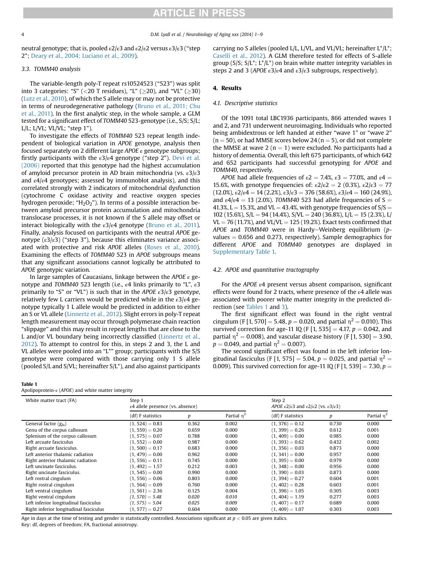### **RTICLE IN PRESS**

<span id="page-4-0"></span>4 D.M. Lyall et al. / Neurobiology of Aging xxx (2014) 1-9

neutral genotype; that is, pooled  $\varepsilon$ 2/ε3 and  $\varepsilon$ 2/ε2 versus ε3/ε3 ("step 2"; [Deary et al., 2004; Luciano et al., 2009](#page-8-0)).

### 3.3. TOMM40 analysis

The variable-length poly-T repeat rs10524523 ("523") was split into 3 categories: "S" (<20 T residues), "L" (>20), and "VL" (>30) [\(Lutz et al., 2010](#page-8-0)), of which the S allele may or may not be protective in terms of neurodegenerative pathology ([Bruno et al., 2011; Chu](#page-8-0) [et al., 2011](#page-8-0)). In the first analytic step, in the whole sample, a GLM tested for a significant effect of TOMM40 523-genotype (i.e., S/S; S/L; L/L; L/VL; VL/VL; "step 1").

To investigate the effects of TOMM40 523 repeat length independent of biological variation in APOE genotype, analysis then focused separately on 2 different large APOE ε genotype subgroups; firstly participants with the  $\varepsilon 3/\varepsilon 4$  genotype ("step 2"). [Devi et al.](#page-8-0) [\(2006\)](#page-8-0) reported that this genotype had the highest accumulation of amyloid precursor protein in AD brain mitochondria (vs. ε3/ε3 and  $\varepsilon$ 4/ $\varepsilon$ 4 genotypes; assessed by immunoblot analysis), and this correlated strongly with 2 indicators of mitochondrial dysfunction (cytochrome C oxidase activity and reactive oxygen species hydrogen peroxide; " $H<sub>2</sub>O<sub>2</sub>$ "). In terms of a possible interaction between amyloid precursor protein accumulation and mitochondria translocase processes, it is not known if the S allele may offset or interact biologically with the  $\varepsilon 3/\varepsilon 4$  genotype ([Bruno et al., 2011\)](#page-8-0). Finally, analysis focused on participants with the neutral APOE genotype ( $ε3/ε3$ ) ("step 3"), because this eliminates variance associated with protective and risk APOE alleles ([Roses et al., 2010\)](#page-8-0). Examining the effects of TOMM40 523 in APOE subgroups means that any significant associations cannot logically be attributed to APOE genotypic variation.

In large samples of Caucasians, linkage between the APOE  $\varepsilon$  genotype and TOMM40 523 length (i.e., ε4 links primarily to "L", ε3 primarily to "S" or "VL") is such that in the APOE  $\varepsilon$ 3/ $\varepsilon$ 3 genotype, relatively few L carriers would be predicted while in the  $\varepsilon^2/\varepsilon^4$  genotype typically 1 L allele would be predicted in addition to either an S or VL allele [\(Linnertz et al., 2012\)](#page-8-0). Slight errors in poly-T repeat length measurement may occur through polymerase chain reaction "slippage" and this may result in repeat lengths that are close to the L and/or VL boundary being incorrectly classified [\(Linnertz et al.,](#page-8-0) [2012\)](#page-8-0). To attempt to control for this, in steps 2 and 3, the L and VL alleles were pooled into an "L\*" group; participants with the S/S genotype were compared with those carrying only 1 S allele (pooled S/L and S/VL; hereinafter S/L\*), and also against participants

### Table 1

Apolipoprotein-ε (APOE) and white matter integrity

carrying no S alleles (pooled L/L, L/VL, and VL/VL; hereinafter  $L^* / L^*$ ; [Caselli et al., 2012\)](#page-8-0). A GLM therefore tested for effects of S-allele group (S/S;  $S/L^*$ ;  $L^*/L^*$ ) on brain white matter integrity variables in steps 2 and 3 (APOE  $\varepsilon 3/\varepsilon 4$  and  $\varepsilon 3/\varepsilon 3$  subgroups, respectively).

### 4. Results

#### 4.1. Descriptive statistics

Of the 1091 total LBC1936 participants, 866 attended waves 1 and 2, and 731 underwent neuroimaging. Individuals who reported being ambidextrous or left handed at either "wave 1" or "wave 2"  $(n = 50)$ , or had MMSE scores below 24  $(n = 5)$ , or did not complete the MMSE at wave 2 ( $n = 1$ ) were excluded. No participants had a history of dementia. Overall, this left 675 participants, of which 642 and 652 participants had successful genotyping for APOE and TOMM40, respectively.

APOE had allele frequencies of  $\varepsilon$ 2 = 7.4%,  $\varepsilon$ 3 = 77.0%, and  $\varepsilon$ 4 = 15.6%, with genotype frequencies of:  $\varepsilon 2/\varepsilon 2 = 2$  (0.3%),  $\varepsilon 2/\varepsilon 3 = 77$ (12.0%),  $\epsilon^2/\epsilon^4 = 14 (2.2\%)$ ,  $\epsilon^3/\epsilon^3 = 376 (58.6\%)$ ,  $\epsilon^3/\epsilon^4 = 160 (24.9\%)$ and  $\varepsilon$ 4/ $\varepsilon$ 4 = 13 (2.0%). TOMM40 523 had allele frequencies of S = 41.3%, L = 15.3%, and VL = 43.4%, with genotype frequencies of  $S/S =$ 102 (15.6%),  $S/L = 94$  (14.4%),  $S/VL = 240$  (36.8%),  $L/L = 15$  (2.3%),  $L/L$  $VL = 76 (11.7%)$ , and  $VL/VL = 125 (19.2%)$ . Exact tests confirmed that APOE and TOMM40 were in Hardy-Weinberg equilibrium ( $p$ values  $= 0.656$  and 0.273, respectively). Sample demographics for different APOE and TOMM40 genotypes are displayed in Supplementary Table 1.

### 4.2. APOE and quantitative tractography

For the APOE ε4 present versus absent comparison, significant effects were found for 2 tracts, where presence of the  $\varepsilon$ 4 allele was associated with poorer white matter integrity in the predicted direction (see Tables 1 and [3](#page-6-0)).

The first significant effect was found in the right ventral cingulum (F [1, 570] = 5.48,  $p = 0.020$ , and partial  $\eta^2 = 0.010$ ). This survived correction for age-11 IQ (F [1, 535] = 4.17,  $p = 0.042$ , and partial  $\eta^2 = 0.008$ ), and vascular disease history (F [1, 530] = 3.90,  $p = 0.049$ , and partial  $\eta^2 = 0.007$ ).

The second significant effect was found in the left inferior longitudinal fasciculus (F [1, 575] = 5.04,  $p = 0.025$ , and partial  $\eta^2 =$ 0.009). This survived correction for age-11 IQ (F [1, 539] = 7.30,  $p =$ 

| White matter tract (FA)                | Step 1                                        |       |               | Step 2                                                                                          |       |               |
|----------------------------------------|-----------------------------------------------|-------|---------------|-------------------------------------------------------------------------------------------------|-------|---------------|
|                                        | $\varepsilon$ 4 allele presence (vs. absence) |       |               | APOE $\epsilon$ 2/ $\epsilon$ 3 and $\epsilon$ 2/ $\epsilon$ 2 (vs. $\epsilon$ 3/ $\epsilon$ 3) |       |               |
|                                        | (df) F statistics                             | p     | Partial $n^2$ | (df) F statistics                                                                               | p     | Partial $n^2$ |
| General factor $(g_{fa})$              | $(1, 524) = 0.83$                             | 0.362 | 0.002         | $(1, 376) = 0.12$                                                                               | 0.730 | 0.000         |
| Genu of the corpus callosum            | $(1, 559) = 0.20$                             | 0.659 | 0.000         | $(1, 399) = 0.26$                                                                               | 0.612 | 0.001         |
| Splenium of the corpus callosum        | $(1, 575) = 0.07$                             | 0.788 | 0.000         | $(1, 409) = 0.00$                                                                               | 0.985 | 0.000         |
| Left arcuate fasciculus                | $(1, 552) = 0.00$                             | 0.987 | 0.000         | $(1, 393) = 0.62$                                                                               | 0.432 | 0.002         |
| Right arcuate fasciculus.              | $(1, 500) = 0.17$                             | 0.683 | 0.000         | $(1, 356) = 0.03$                                                                               | 0.873 | 0.000         |
| Left anterior thalamic radiation       | $(1, 479) = 0.00$                             | 0.962 | 0.000         | $(1, 341) = 0.00$                                                                               | 0.957 | 0.000         |
| Right anterior thalamic radiation      | $(1, 556) = 0.11$                             | 0.745 | 0.000         | $(1, 395) = 0.00$                                                                               | 0.979 | 0.000         |
| Left uncinate fasciculus.              | $(1, 492) = 1.57$                             | 0.212 | 0.003         | $(1, 348) = 0.00$                                                                               | 0.956 | 0.000         |
| Right uncinate fasciculus.             | $(1, 545) = 0.00$                             | 0.990 | 0.000         | $(1, 390) = 0.03$                                                                               | 0.873 | 0.000         |
| Left rostral cingulum                  | $(1, 556) = 0.06$                             | 0.803 | 0.000         | $(1, 394) = 0.27$                                                                               | 0.604 | 0.001         |
| Right rostral cingulum                 | $(1, 564) = 0.09$                             | 0.760 | 0.000         | $(1, 402) = 0.28$                                                                               | 0.603 | 0.001         |
| Left ventral cingulum                  | $(1, 561) = 2.36$                             | 0.125 | 0.004         | $(1, 396) = 1.05$                                                                               | 0.305 | 0.003         |
| Right ventral cingulum                 | $(1, 570) = 5.48$                             | 0.020 | 0.010         | $(1, 404) = 1.19$                                                                               | 0.277 | 0.003         |
| Left inferior longitudinal fasciculus  | $(1, 575) = 5.04$                             | 0.025 | 0.009         | $(1, 407) = 0.17$                                                                               | 0.689 | 0.000         |
| Right inferior longitudinal fasciculus | $(1, 577) = 0.27$                             | 0.604 | 0.000         | $(1, 409) = 1.07$                                                                               | 0.303 | 0.003         |

Age in days at the time of testing and gender is statistically controlled. Associations significant at  $p < 0.05$  are given italics. Key: df, degrees of freedom; FA, fractional anisotropy.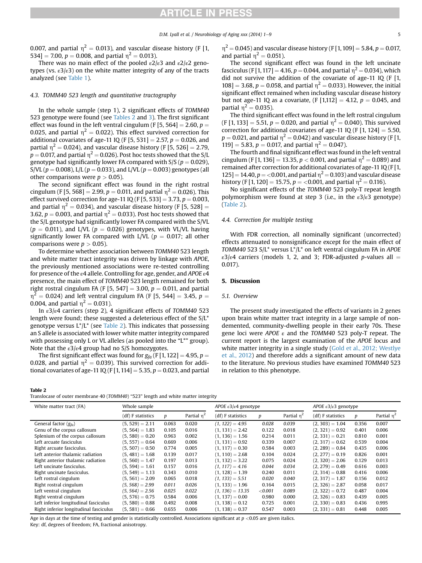0.007, and partial  $\eta^2 = 0.013$ ), and vascular disease history (F [1, 534] = 7.00,  $p = 0.008$ , and partial  $\eta^2 = 0.013$ ).

There was no main effect of the pooled  $\varepsilon 2/\varepsilon 3$  and  $\varepsilon 2/\varepsilon 2$  genotypes (vs.  $\varepsilon 3/\varepsilon 3$ ) on the white matter integrity of any of the tracts analyzed (see [Table 1](#page-4-0)).

### 4.3. TOMM40 523 length and quantitative tractography

In the whole sample (step 1), 2 significant effects of TOMM40 523 genotype were found (see Tables 2 and [3](#page-6-0)). The first significant effect was found in the left ventral cingulum (F [5, 564] = 2.60,  $p =$ 0.025, and partial  $\eta^2 = 0.022$ ). This effect survived correction for additional covariates of age-11 IQ (F [5, 531] = 2.57,  $p = 0.026$ , and partial  $\eta^2 = 0.024$ ), and vascular disease history (F [5, 526] = 2.79,  $p = 0.017$ , and partial  $\eta^2 = 0.026$ ). Post hoc tests showed that the S/L genotype had significantly lower FA compared with  $S/S (p = 0.029)$ , S/VL ( $p = 0.008$ ), L/L ( $p = 0.033$ ), and L/VL ( $p = 0.003$ ) genotypes (all other comparisons were  $p > 0.05$ ).

The second significant effect was found in the right rostral cingulum (F [5, 568] = 2.99,  $p = 0.011$ , and partial  $\eta^2 = 0.026$ ). This effect survived correction for age-11 IQ (F [5, 533] = 3.73,  $p = 0.003$ , and partial  $\eta^2 = 0.034$ ), and vascular disease history (F [5, 528] = 3.62,  $p = 0.003$ , and partial  $\eta^2 = 0.033$ ). Post hoc tests showed that the S/L genotype had significantly lower FA compared with the S/VL  $(p = 0.011)$ , and L/VL  $(p = 0.026)$  genotypes, with VL/VL having significantly lower FA compared with L/VL ( $p = 0.017$ ; all other comparisons were  $p > 0.05$ ).

To determine whether association between TOMM40 523 length and white matter tract integrity was driven by linkage with APOE, the previously mentioned associations were re-tested controlling for presence of the  $\varepsilon$ 4 allele. Controlling for age, gender, and APOE  $\varepsilon$ 4 presence, the main effect of TOMM40 523 length remained for both right rostral cingulum FA (F [5, 547] = 3.00,  $p = 0.011$ , and partial  $n^2 = 0.024$ ) and left ventral cingulum FA (F [5, 544] = 3.45, p = 0.004, and partial  $\eta^2 = 0.031$ ).

In ε3/ε4 carriers (step 2), 4 significant effects of TOMM40 523 length were found; these suggested a deleterious effect of the S/L\* genotype versus  $L^*/L^*$  (see Table 2). This indicates that possessing an S allele is associated with lower white matter integrity compared with possessing only L or VL alleles (as pooled into the "L\*" group). Note that the  $\varepsilon 3/\varepsilon 4$  group had no S/S homozygotes.

The first significant effect was found for  $g_{fa}$  (F [1, 122] = 4.95, p = 0.028, and partial  $\eta^2 = 0.039$ ). This survived correction for additional covariates of age-11 IQ (F [1, 114] = 5.35,  $p = 0.023$ , and partial

#### Table 2

Translocase of outer membrane 40 (TOMM40) "523" length and white matter integrity

White matter tract (FA) Whole sample APOE ε3/ε4 genotype APOE ε3/ε3 genotype APOE ε3/ε3 genotype (df) F statistics  $p$  Partial  $\eta^2$  (df) F statistics  $p$  Partial  $\eta^2$  (df) F statistics  $p$  Partial  $\eta^2$ General factor (g<sub>fa</sub>) (5, 529) = 2.11 0.063 0.020 (1, 122) = 4.95 0.028 0.039 (2, 303) = 1.04 0.356 0.007 Genu of the corpus callosum  $(5, 564) = 1.83$   $0.105$   $0.016$   $(1, 131) = 2.42$   $0.122$   $0.018$   $(2, 321) = 0.92$   $0.401$   $0.006$ <br>Splenium of the corpus callosum  $(5, 580) = 0.20$   $0.963$   $0.002$   $(1, 136) = 1.56$   $0.214$   $0.0$ Splenium of the corpus callosum (5, 580) = 0.20 0.963 0.002 (1, 136) = 1.56 0.214 0.011 (2, 331) = 0.21 0.810 0.001<br>Left arcuate fasciculus (5, 557) = 0.64 0.669 0.006 (1, 131) = 0.92 0.339 0.007 (2, 317) = 0.62 0.539 0.00 Left arcuate fasciculus (5, 557) = 0.64 0.669 0.006 (1, 131) = 0.92 0.339 0.007 (2, 317) = 0.62 0.539 0.004<br>Right arcuate fasciculus. (5, 507) = 0.50 0.774 0.005 (1, 117) = 0.30 0.584 0.003 (2, 289) = 0.84 0.435 0.006 Right arcuate fasciculus.  $(5, 507) = 0.50$   $0.774$   $0.005$   $(1, 117) = 0.30$   $0.584$   $0.003$   $(2, 289) = 0.84$   $0.435$   $0.006$ Left anterior thalamic radiation  $(5, 481) = 1.68$   $(1, 139)$   $(2, 268)$   $(3, 104)$   $(1, 104) = 2.68$   $(2, 277) = 0.19$   $(3, 277) = 0.19$   $(3, 26) = 0.001$ <br>Right anterior thalamic radiation  $(5, 560) = 1.47$   $(1, 197)$   $(0.013)$ Right anterior thalamic radiation  $(5, 560) = 1.47$  0.197 0.013  $(1, 132) = 3.22$  0.075 0.024  $(2, 320) = 2.06$  0.129 0.013<br>
Left uncinate fasciculus.  $(5, 594) = 1.61$  0.157 0.016  $(1, 117) = 4.16$  0.044 0.034  $(2, 279) = 0.49$ Left uncinate fasciculus. (5, 594) = 1.61 0.157 0.016 (1, 117) = 4.16 0.044 0.034 (2, 279) = 0.49 0.616 0.003<br>Right uncinate fasciculus. (5, 549) = 1.13 0.343 0.010 (1, 128) = 1.39 0.240 0.011 (2, 314) = 0.88 0.416 0.006 Right uncinate fasciculus. (5, 549) = 1.13 0.343 0.010 (1, 128) = 1.39 0.240 0.011 (2, 314) = 0.88 0.416 0.006<br>Left rostral cingulum (5, 561) = 2.09 0.065 0.018 (1, 133) = 5.51 0.020 0.040 (2, 317) = 1.87 0.156 0.012 Left rostral cingulum  $(5, 561) = 2.09$  0.065 0.018  $(1, 133) = 5.51$  0.020 0.040  $(2, 317) = 1.87$  0.156 0.012 Right rostral cingulum  $(5, 568) = 2.99$  0.011 0.026  $(1, 133) = 1.96$  0.164 0.015  $(2, 326) = 2.87$  0.058 0.017 Left ventral cingulum  $(5, 564) = 2.56$   $0.025$   $0.022$   $(1, 136) = 13.35$   $(0.001$   $0.089$   $(2, 322) = 0.72$  0.487 0.004<br>
Right ventral cingulum  $(5, 576) = 0.75$  0.584 0.006  $(1, 137) = 0.00$  0.980 0.000  $(2, 326) = 0.83$  0.4 Right ventral cingulum  $(5, 576) = 0.75$   $0.584$   $0.006$   $(1, 137) = 0.00$   $0.980$   $0.000$   $(2, 326) = 0.83$   $0.439$   $0.005$ <br>
Left inferior longitudinal fasciculus  $(5, 580) = 0.88$   $0.492$   $0.008$   $(1, 138) = 0.12$   $0.725$   $0$ Left inferior longitudinal fasciculus (5, 580) = 0.88 0.492 0.008 (1, 138) = 0.12 0.725 0.001 (2, 330) = 0.83 0.436 0.995<br>Right inferior longitudinal fasciculus (5, 581) = 0.66 0.655 0.006 (1, 138) = 0.37 0.547 0.003 (2, 3 Right inferior longitudinal fasciculus

Age in days at the time of testing and gender is statistically controlled. Associations significant at  $p < 0.05$  are given italics. Key: df, degrees of freedom; FA, fractional anisotropy.

 $\eta^2 = 0.045$ ) and vascular disease history (F [1, 109] = 5.84, p = 0.017, and partial  $\eta^2 = 0.051$ ).

The second significant effect was found in the left uncinate fasciculus (F [1, 117] = 4.16,  $p = 0.044$ , and partial  $\eta^2 = 0.034$ ), which did not survive the addition of the covariate of age-11 IQ (F [1, 108] = 3.68,  $p = 0.058$ , and partial  $\eta^2 = 0.033$ ). However, the initial significant effect remained when including vascular disease history but not age-11 IQ as a covariate,  $(F [1, 112] = 4.12, p = 0.045,$  and partial  $\eta^2 = 0.035$ ).

The third significant effect was found in the left rostral cingulum  $(F [1, 133] = 5.51, p = 0.020,$  and partial  $\eta^2 = 0.040$ ). This survived correction for additional covariates of age-11 IQ (F  $[1, 124] = 5.50$ ,  $p = 0.021$ , and partial  $\eta^2 = 0.042$ ) and vascular disease history (F [1, 119] = 5.83,  $p = 0.017$ , and partial  $\eta^2 = 0.047$ ).

The fourth and final significant effect was found in the left ventral cingulum (F [1, 136] = 13.35,  $p < 0.001$ , and partial  $\eta^2 = 0.089$ ) and remained after correction for additional covariates of age-11 IQ (F [1,  $125$ ] = 14.40,  $p = < 0.001$ , and partial  $\eta^2 = 0.103$ ) and vascular disease history (F [1, 120] = 15.75,  $p = < 0.001$ , and partial  $\eta^2 = 0.116$ ).

No significant effects of the TOMM40 523 poly-T repeat length polymorphism were found at step 3 (i.e., in the  $\varepsilon^2/\varepsilon^2$  genotype) (Table 2).

### 4.4. Correction for multiple testing

With FDR correction, all nominally significant (uncorrected) effects attenuated to nonsignificance except for the main effect of TOMM40 523 S/L\* versus L\*/L\* on left ventral cingulum FA in APOE  $\varepsilon$ 3/ $\varepsilon$ 4 carriers (models 1, 2, and 3; FDR-adjusted p-values all = 0.017).

### 5. Discussion

### 5.1. Overview

The present study investigated the effects of variants in 2 genes upon brain white matter tract integrity in a large sample of nondemented, community-dwelling people in their early 70s. These gene loci were APOE ε and the TOMM40 523 poly-T repeat. The current report is the largest examination of the APOE locus and white matter integrity in a single study ([Gold et al., 2012; Westlye](#page-8-0) [et al., 2012](#page-8-0)) and therefore adds a significant amount of new data to the literature. No previous studies have examined TOMM40 523 in relation to this phenotype.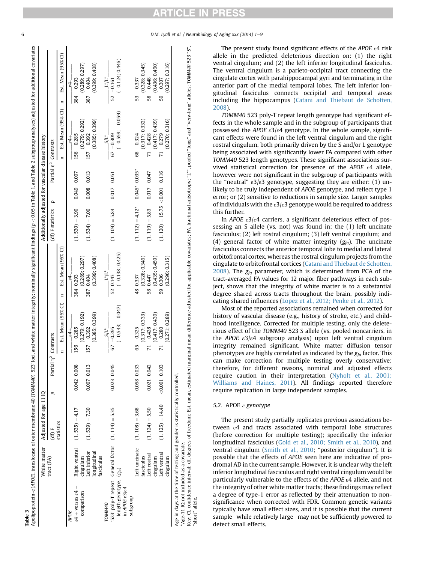|                                                          | White matter               | Adjusted for age 11 IQ          |                 |                                    |                                      |                                    | Additionally adjusted for vascular disease history |                              |                                      |
|----------------------------------------------------------|----------------------------|---------------------------------|-----------------|------------------------------------|--------------------------------------|------------------------------------|----------------------------------------------------|------------------------------|--------------------------------------|
|                                                          | tract (FA)                 | (df) F                          |                 | Partial $\eta^2$ Contrasts         |                                      | (df) F statistics                  | p                                                  | Partial $\eta^2$ Contrasts   |                                      |
|                                                          |                            | statistics                      |                 | Est. Mean (95% CI)<br>$\mathbf{a}$ | Est. Mean (95% CI)<br>$\overline{a}$ |                                    |                                                    | Est. Mean (95% CI)<br>$\Box$ | Est. Mean (95% CI)<br>$\overline{a}$ |
| APOE                                                     |                            |                                 |                 | $\frac{1}{4}$                      | $\frac{4}{4}$                        |                                    |                                                    | $\frac{1}{4}$                | e4-                                  |
| $e4 +$ versus $e4 -$                                     |                            | Right ventral $(1, 535) = 4.17$ | 0.042 0.008     | 156 0.285                          | 384 0.293                            | $(1, 530) = 3.90$                  | 0.049 0.007                                        | 156 0.285                    | 0.293<br>384                         |
| comparison                                               | cingulum                   |                                 |                 | (0.279; 0.192)                     | (0.289; 0.297)                       |                                    |                                                    | (0.279; 0.292)               | (0.289; 0.297)                       |
|                                                          | Left inferior              | $(1, 539) = 7.30$               | 0.007 0.013     | 157 0.392                          | 387 0.404                            | $(1, 534) = 7.00$                  | 0.008 0.013                                        | 0.392<br>157                 | 0.404<br>387                         |
|                                                          | longitudinal<br>fasciculus |                                 |                 | (0.385; 0.399)                     | (0.399; 0.408)                       |                                    |                                                    | (0.385; 0.399)               | (0.399; 0.408)                       |
| TOMM40                                                   |                            |                                 |                 | $-S/L^*$                           | $-L^*L^*$                            |                                    |                                                    | $-S/L^*$                     | $-1*/\mathsf{L}^*$                   |
| '523' poly-T repeat General factor $(1, 114) = 5.35$     |                            |                                 | 0.023 0.045     | $67 - 0.295$                       | 52 0.143                             | $(1, 109) = 5.84$                  | 0.017 0.051                                        | $67 - 0.309$                 | $52 - 0.161$                         |
| length genotype, $(g_{fa})$<br>in APOE e3/e4<br>dnorgqns |                            |                                 |                 | $(-0.543; -0.047)$                 | $(-0.138; 0.425)$                    |                                    |                                                    | $(-0.559; -0.059)$           | $(-0.124; 0.446)$                    |
|                                                          | Left uncinate              | $(1, 108) = 3.68$               | 0.058 0.033     | 65 0.325                           | 48 0.337                             | $(1, 112) = 4.12^*$                | $0.045*0.035*$                                     | 68 0.324                     | 0.337<br>53                          |
|                                                          | fasciculus                 |                                 |                 | (0.317; 0.333)                     | $(0.328; 0.346)$<br>58 0.447         |                                    |                                                    | (0.317; 0.332)               | (0.328; 0.345)                       |
|                                                          | Left rostral               | $(1, 124) = 5.50$               | 0.021 0.042     | 71 0.428                           |                                      | $(1, 119) = 5.83$                  | 0.017 0.047                                        | 0.428<br>$\overline{7}$      | 0.448<br>58                          |
|                                                          | cingulum                   |                                 |                 | (0.417; 0.439)                     | (0.435; 0.459)                       |                                    |                                                    | (0.417; 0.439)               | (0.436; 0.460)                       |
|                                                          | Left ventral               | $(1, 125) = 14.40$              | $< 0.001$ 0.103 | 0.280                              | 59 0.306                             | $(1, 120) = 15.75 \le 0.001$ 0.116 |                                                    | 0.279<br>$\overline{7}$      | 0.307<br>59                          |
|                                                          | cingulum                   |                                 |                 | (0.271; 0.289)                     | (0.296; 0.315)                       |                                    |                                                    | (0.270; 0.316)               | (0.297; 0.316)                       |

Key: CI, confidence interval; df, degrees of freedom; Est. mean, estimated marginal mean difference adjusted for applicable covariates; FA, fractional anisotropy; "L\*", pooled "long" and "very-long" alleles; TOMM40 523 "S", key: CI, confidence interval; df, degrees of freedom; Est. mean, estimated marginal mean difference adjusted for applicable covariates; FA, fractional anisotropy; "L"", pooled "long" and "very-long" alleles; f70MM40 523 "S 'short" allele. "short" allele.

The present study found significant effects of the APOE  $\varepsilon$ 4 risk allele in the predicted deleterious direction on: (1) the right ventral cingulum; and (2) the left inferior longitudinal fasciculus. The ventral cingulum is a parieto-occipital tract connecting the cingulate cortex with parahippocampal gyri and terminating in the anterior part of the medial temporal lobes. The left inferior longitudinal fasciculus connects occipital and temporal areas including the hippocampus [\(Catani and Thiebaut de Schotten,](#page-8-0) [2008](#page-8-0)).

TOMM40 523 poly-T repeat length genotype had significant effects in the whole sample and in the subgroup of participants that possessed the APOE  $ε3/ε4$  genotype. In the whole sample, significant effects were found in the left ventral cingulum and the right rostral cingulum, both primarily driven by the S and/or L genotype being associated with significantly lower FA compared with other TOMM40 523 length genotypes. These significant associations survived statistical correction for presence of the APOE ε4 allele, however were not significant in the subgroup of participants with the "neutral"  $\varepsilon 3/\varepsilon 3$  genotype, suggesting they are either: (1) unlikely to be truly independent of APOE genotype, and reflect type 1 error; or (2) sensitive to reductions in sample size. Larger samples of individuals with the  $\varepsilon^3/\varepsilon^3$  genotype would be required to address this further.

In APOE ε3/ε4 carriers, a significant deleterious effect of possessing an S allele (vs. not) was found in: the (1) left uncinate fasciculus; (2) left rostral cingulum; (3) left ventral cingulum; and (4) general factor of white matter integrity  $(g_{fa})$ . The uncinate fasciculus connects the anterior temporal lobe to medial and lateral orbitofrontal cortex, whereas the rostral cingulum projects from the cingulate to orbitofrontal cortices [\(Catani and Thiebaut de Schotten,](#page-8-0) [2008](#page-8-0)). The  $g_{fa}$  parameter, which is determined from PCA of the tract-averaged FA values for 12 major fiber pathways in each subject, shows that the integrity of white matter is to a substantial degree shared across tracts throughout the brain, possibly indicating shared influences [\(Lopez et al., 2012; Penke et al., 2012\)](#page-8-0).

Most of the reported associations remained when corrected for history of vascular disease (e.g., history of stroke, etc.) and childhood intelligence. Corrected for multiple testing, only the deleterious effect of the TOMM40 523 S allele (vs. pooled noncarriers, in the APOE  $\varepsilon 3/\varepsilon 4$  subgroup analysis) upon left ventral cingulum integrity remained significant. White matter diffusion tensor phenotypes are highly correlated as indicated by the  $g_{fa}$  factor. This can make correction for multiple testing overly conservative; therefore, for different reasons, nominal and adjusted effects require caution in their interpretation ([Nyholt et al., 2001;](#page-8-0) [Williams and Haines, 2011](#page-8-0)). All findings reported therefore require replication in large independent samples.

### 5.2. APOE ε genotype

The present study partially replicates previous associations between ε4 and tracts associated with temporal lobe structures (before correction for multiple testing); specifically the inferior longitudinal fasciculus ([Gold et al., 2010; Smith et al., 2010](#page-8-0)), and ventral cingulum [\(Smith et al., 2010](#page-9-0); "posterior cingulum"). It is possible that the effects of APOE seen here are indicative of prodromal AD in the current sample. However, it is unclear why the left inferior longitudinal fasciculus and right ventral cingulum would be particularly vulnerable to the effects of the APOE ε4 allele, and not the integrity of other white matter tracts; these findings may reflect a degree of type-1 error as reflected by their attenuation to nonsignificance when corrected with FDR. Common genetic variants typically have small effect sizes, and it is possible that the current sample-while relatively large-may not be sufficiently powered to detect small effects.

<span id="page-6-0"></span>6 **D.M. Lyall et al. / Neurobiology of Aging xxx (2014) 1–9**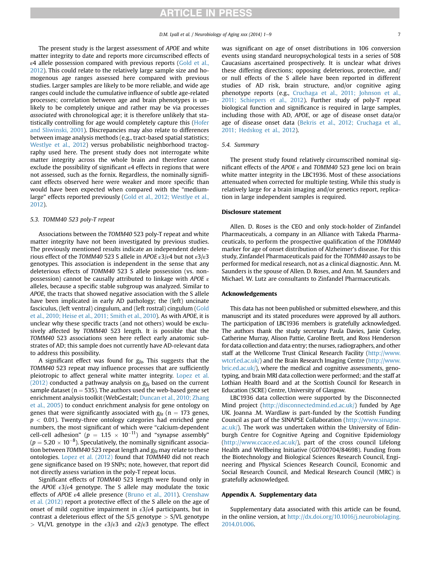The present study is the largest assessment of APOE and white matter integrity to date and reports more circumscribed effects of ε4 allele possession compared with previous reports [\(Gold et al.,](#page-8-0) [2012\)](#page-8-0). This could relate to the relatively large sample size and homogenous age ranges assessed here compared with previous studies. Larger samples are likely to be more reliable, and wide age ranges could include the cumulative influence of subtle age-related processes; correlation between age and brain phenotypes is unlikely to be completely unique and rather may be via processes associated with chronological age; it is therefore unlikely that statistically controlling for age would completely capture this [\(Hofer](#page-8-0) [and Sliwinski, 2001\)](#page-8-0). Discrepancies may also relate to differences between image analysis methods (e.g., tract-based spatial statistics; [Westlye et al., 2012](#page-9-0)) versus probabilistic neighborhood tractography used here. The present study does not interrogate white matter integrity across the whole brain and therefore cannot exclude the possibility of significant ε4 effects in regions that were not assessed, such as the fornix. Regardless, the nominally significant effects observed here were weaker and more specific than would have been expected when compared with the "mediumlarge" effects reported previously [\(Gold et al., 2012; Westlye et al.,](#page-8-0) [2012\)](#page-8-0).

### 5.3. TOMM40 523 poly-T repeat

Associations between the TOMM40 523 poly-T repeat and white matter integrity have not been investigated by previous studies. The previously mentioned results indicate an independent deleterious effect of the TOMM40 523 S allele in APOE  $\varepsilon$ 3/ε4 but not  $\varepsilon$ 3/ε3 genotypes. This association is independent in the sense that any deleterious effects of TOMM40 523 S allele possession (vs. nonpossession) cannot be causally attributed to linkage with APOE ε alleles, because a specific stable subgroup was analyzed. Similar to APOE, the tracts that showed negative association with the S allele have been implicated in early AD pathology; the (left) uncinate fasciculus, (left ventral) cingulum, and (left rostral) cingulum [\(Gold](#page-8-0) [et al., 2010; Heise et al., 2011; Smith et al., 2010\)](#page-8-0). As with APOE, it is unclear why these specific tracts (and not others) would be exclusively affected by TOMM40 523 length. It is possible that the TOMM40 523 associations seen here reflect early anatomic substrates of AD; this sample does not currently have AD-relevant data to address this possibility.

A significant effect was found for  $g_{fa}$ . This suggests that the TOMM40 523 repeat may influence processes that are sufficiently pleiotropic to affect general white matter integrity. [Lopez et al.](#page-8-0) [\(2012\)](#page-8-0) conducted a pathway analysis on  $g_{fa}$  based on the current sample dataset ( $n = 535$ ). The authors used the web-based gene set enrichment analysis toolkit (WebGestalt; [Duncan et al., 2010; Zhang](#page-8-0) [et al., 2005](#page-8-0)) to conduct enrichment analysis for gene ontology on genes that were significantly associated with  $g_{fa}$  (n = 173 genes,  $p < 0.01$ ). Twenty-three ontology categories had enriched gene numbers, the most significant of which were "calcium-dependent cell-cell adhesion" ( $p = 1.15 \times 10^{-11}$ ) and "synapse assembly"  $(p = 5.20 \times 10^{-8})$ . Speculatively, the nominally significant association between TOMM40 523 repeat length and  $g_{fa}$  may relate to these ontologies. [Lopez et al. \(2012\)](#page-8-0) found that TOMM40 did not reach gene significance based on 19 SNPs; note, however, that report did not directly assess variation in the poly-T repeat locus.

Significant effects of TOMM40 523 length were found only in the APOE  $\varepsilon$ 3/ $\varepsilon$ 4 genotype. The S allele may modulate the toxic effects of APOE ε4 allele presence ([Bruno et al., 2011\)](#page-8-0). [Crenshaw](#page-8-0) [et al. \(2012\)](#page-8-0) report a protective effect of the S allele on the age of onset of mild cognitive impairment in  $\varepsilon$ 3/ $\varepsilon$ 4 participants, but in contrast a deleterious effect of the S/S genotype > S/VL genotype  $>$  VL/VL genotype in the  $\varepsilon$ 3/ $\varepsilon$ 3 and  $\varepsilon$ 2/ $\varepsilon$ 3 genotype. The effect was significant on age of onset distributions in 106 conversion events using standard neuropsychological tests in a series of 508 Caucasians ascertained prospectively. It is unclear what drives these differing directions; opposing deleterious, protective, and/ or null effects of the S allele have been reported in different studies of AD risk, brain structure, and/or cognitive aging phenotype reports (e.g., [Cruchaga et al., 2011; Johnson et al.,](#page-8-0) [2011; Schiepers et al., 2012](#page-8-0)). Further study of poly-T repeat biological function and significance is required in large samples, including those with AD, APOE, or age of disease onset data/or age of disease onset data [\(Bekris et al., 2012; Cruchaga et al.,](#page-8-0) [2011; Hedskog et al., 2012\)](#page-8-0).

### 5.4. Summary

The present study found relatively circumscribed nominal significant effects of the APOE ε and TOMM40 523 gene loci on brain white matter integrity in the LBC1936. Most of these associations attenuated when corrected for multiple testing. While this study is relatively large for a brain imaging and/or genetics report, replication in large independent samples is required.

### Disclosure statement

Allen. D. Roses is the CEO and only stock-holder of Zinfandel Pharmaceuticals, a company in an Alliance with Takeda Pharmaceuticals, to perform the prospective qualification of the TOMM40 marker for age of onset distribution of Alzheimer's disease. For this study, Zinfandel Pharmaceuticals paid for the TOMM40 assays to be performed for medical research, not as a clinical diagnostic. Ann. M. Saunders is the spouse of Allen. D. Roses, and Ann. M. Saunders and Michael. W. Lutz are consultants to Zinfandel Pharmaceuticals.

#### Acknowledgements

This data has not been published or submitted elsewhere, and this manuscript and its stated procedures were approved by all authors. The participation of LBC1936 members is gratefully acknowledged. The authors thank the study secretary Paula Davies, Janie Corley, Catherine Murray, Alison Pattie, Caroline Brett, and Ross Henderson for data collection and data entry; the nurses, radiographers, and other staff at the Wellcome Trust Clinical Research Facility [\(http://www.](http://www.wtcrf.ed.ac.uk/) [wtcrf.ed.ac.uk/](http://www.wtcrf.ed.ac.uk/)) and the Brain Research Imaging Centre [\(http://www.](http://www.bric.ed.ac.uk/) [bric.ed.ac.uk/\)](http://www.bric.ed.ac.uk/), where the medical and cognitive assessments, genotyping, and brain MRI data collection were performed; and the staff at Lothian Health Board and at the Scottish Council for Research in Education (SCRE) Centre, University of Glasgow.

LBC1936 data collection were supported by the Disconnected Mind project (<http://disconnectedmind.ed.ac.uk/>) funded by Age UK. Joanna .M. Wardlaw is part-funded by the Scottish Funding Council as part of the SINAPSE Collaboration ([http://www.sinapse.](http://www.sinapse.ac.uk/) [ac.uk/](http://www.sinapse.ac.uk/)). The work was undertaken within the University of Edinburgh Centre for Cognitive Ageing and Cognitive Epidemiology [\(http://www.ccace.ed.ac.uk/\)](http://www.ccace.ed.ac.uk/), part of the cross council Lifelong Health and Wellbeing Initiative (G0700704/84698). Funding from the Biotechnology and Biological Sciences Research Council, Engineering and Physical Sciences Research Council, Economic and Social Research Council, and Medical Research Council (MRC) is gratefully acknowledged.

#### Appendix A. Supplementary data

Supplementary data associated with this article can be found, in the online version, at [http://dx.doi.org/10.1016/j.neurobiolaging.](http://dx.doi.org/10.1016/j.neurobiolaging.2014.01.006) [2014.01.006](http://dx.doi.org/10.1016/j.neurobiolaging.2014.01.006).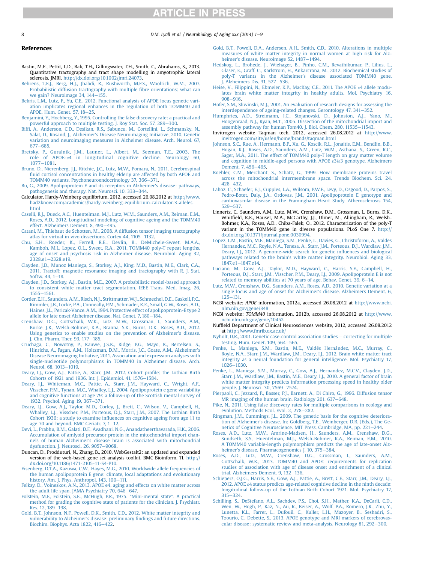# **ARTICLE IN PRESS**

<span id="page-8-0"></span>8 B. B. D.M. Lyall et al. / Neurobiology of Aging xxx (2014) 1–9

#### References

- Bastin, M.E., Pettit, L.D., Bak, T.H., Gillingwater, T.H., Smith, C., Abrahams, S., 2013. Quantitative tractography and tract shape modelling in amyotrophic lateral sclerosis. JMRI. [http://dx.doi.org/10.1002/jmri.24073.](http://dx.doi.org/10.1002/jmri.24073)
- [Behrens, T.E.J., Berg, H.J., Jbabdi, R., Rushworth, M.F.S., Woolrich, W.M., 2007.](http://refhub.elsevier.com/S0197-4580(14)00007-4/sref2) [Probabilistic diffusion tractography with multiple](http://refhub.elsevier.com/S0197-4580(14)00007-4/sref2) fibre orientations: what can [we gain? Neuroimage 34, 144](http://refhub.elsevier.com/S0197-4580(14)00007-4/sref2)–[155.](http://refhub.elsevier.com/S0197-4580(14)00007-4/sref2)
- [Bekris, L.M., Lutz, F., Yu, C.E., 2012. Functional analysis of APOE locus genetic vari](http://refhub.elsevier.com/S0197-4580(14)00007-4/sref3)[ation implicates regional enhances in the regulation of both TOMM40 and](http://refhub.elsevier.com/S0197-4580(14)00007-4/sref3) [APOE. Hum. Genet. 57, 18](http://refhub.elsevier.com/S0197-4580(14)00007-4/sref3)-[25](http://refhub.elsevier.com/S0197-4580(14)00007-4/sref3).
- [Benjamini, Y., Hochberg, Y., 1995. Controlling the false discovery rate: a practical and](http://refhub.elsevier.com/S0197-4580(14)00007-4/sref4) [powerful approach to multiple testing. J. Roy Stat. Soc. 57, 289](http://refhub.elsevier.com/S0197-4580(14)00007-4/sref4)-[300](http://refhub.elsevier.com/S0197-4580(14)00007-4/sref4).
- Biffi[, A., Anderson, C.D., Desikan, R.S., Sabuncu, M., Cortellini, L., Schmansky, N.,](http://refhub.elsevier.com/S0197-4580(14)00007-4/sref5) Salat, D., Rosand, J., Alzheimer'[s Disease Neuroimaging Initiative, 2010. Genetic](http://refhub.elsevier.com/S0197-4580(14)00007-4/sref5) [variation and neuroimaging measures in Alzheimer disease. Arch. Neurol. 67,](http://refhub.elsevier.com/S0197-4580(14)00007-4/sref5) [677](http://refhub.elsevier.com/S0197-4580(14)00007-4/sref5)-[685.](http://refhub.elsevier.com/S0197-4580(14)00007-4/sref5)
- [Bretsky, P., Guralnik, J.M., Launer, L., Albert, M., Seeman, T.E., 2003. The](http://refhub.elsevier.com/S0197-4580(14)00007-4/sref57) [role of APOE-](http://refhub.elsevier.com/S0197-4580(14)00007-4/sref57)ε[4 in longitudinal cognitive decline. Neurology 60,](http://refhub.elsevier.com/S0197-4580(14)00007-4/sref57) [1077](http://refhub.elsevier.com/S0197-4580(14)00007-4/sref57)-[1081.](http://refhub.elsevier.com/S0197-4580(14)00007-4/sref57)
- [Bruno, D., Nierenberg, J.J., Ritchie, J.C., Lutz, M.W., Pomara, N., 2011. Cerebrospinal](http://refhub.elsevier.com/S0197-4580(14)00007-4/sref6) fl[uid cortisol concentrations in healthy elderly are affected by both APOE and](http://refhub.elsevier.com/S0197-4580(14)00007-4/sref6) [TOMM40 variants. Psychoneuroendocrinology 37, 366](http://refhub.elsevier.com/S0197-4580(14)00007-4/sref6)-[371.](http://refhub.elsevier.com/S0197-4580(14)00007-4/sref6)
- [Bu, G., 2009. Apolipoprotein E and its receptors in Alzheimer](http://refhub.elsevier.com/S0197-4580(14)00007-4/sref7)'s disease: pathways, [pathogenesis and therapy. Nat. Neurosci. 10, 333](http://refhub.elsevier.com/S0197-4580(14)00007-4/sref7)-[344.](http://refhub.elsevier.com/S0197-4580(14)00007-4/sref7)
- Calculator, Hardy-Weinberg equilibrium, 2012, accessed 26.08.2012 at [http://www.](http://www.had2know.com/academics/hardy-weinberg-equilibrium-calculator-3-alleles.html) [had2know.com/academics/hardy-weinberg-equilibrium-calculator-3-alleles.](http://www.had2know.com/academics/hardy-weinberg-equilibrium-calculator-3-alleles.html) [html](http://www.had2know.com/academics/hardy-weinberg-equilibrium-calculator-3-alleles.html)
- [Caselli, R.J., Dueck, A.C., Huentelman, M.J., Lutz, W.M., Saunders, A.M., Reiman, E.M.,](http://refhub.elsevier.com/S0197-4580(14)00007-4/sref8) [Roses, A.D., 2012. Longitudinal modeling of cognitive ageing and the TOMM40](http://refhub.elsevier.com/S0197-4580(14)00007-4/sref8) [effect. Alzheimers Dement. 8, 490](http://refhub.elsevier.com/S0197-4580(14)00007-4/sref8)-[495](http://refhub.elsevier.com/S0197-4580(14)00007-4/sref8).
- [Catani, M., Thiebaut de Schotten, M., 2008. A diffusion tensor imaging tractography](http://refhub.elsevier.com/S0197-4580(14)00007-4/sref9) atlas for virtual in vivo dissections. Cortex  $44$ ,  $1105-1132$ .
- [Chu, S.H., Roeder, K., Ferrell, R.E., Devlin, B., DeMichele-Sweet, M.A.A.,](http://refhub.elsevier.com/S0197-4580(14)00007-4/sref10) [Kamboh, M.I., Lopez, O.L., Sweet, R.A., 2011. TOMM40 poly-T repeat lengths,](http://refhub.elsevier.com/S0197-4580(14)00007-4/sref10) [age of onset and psychosis risk in Alzheimer disease. Neurobiol. Aging 32,](http://refhub.elsevier.com/S0197-4580(14)00007-4/sref10) [2328.e1](http://refhub.elsevier.com/S0197-4580(14)00007-4/sref10)-[2328.e19](http://refhub.elsevier.com/S0197-4580(14)00007-4/sref10).
- [Clayden, J.D., Munoz Maniega, S., Storkey, A.J., King, M.D., Bastin, M.E., Clark, C.A.,](http://refhub.elsevier.com/S0197-4580(14)00007-4/sref11) [2011. TractoR: magnetic resonance imaging and tractography with R. J. Stat.](http://refhub.elsevier.com/S0197-4580(14)00007-4/sref11) Softw $44, 1-18$  $44, 1-18$
- [Clayden, J.D., Storkey, A.J., Bastin, M.E., 2007. A probabilistic model-based approach](http://refhub.elsevier.com/S0197-4580(14)00007-4/sref12) [to consistent white matter tract segmentation. IEEE Trans. Med. Imag. 26,](http://refhub.elsevier.com/S0197-4580(14)00007-4/sref12) [1555](http://refhub.elsevier.com/S0197-4580(14)00007-4/sref12)-[1561.](http://refhub.elsevier.com/S0197-4580(14)00007-4/sref12)
- [Corder, E.H., Saunders, A.M., Risch, N.J., Strittmatter,W.J., Schmechel, D.E., Gaskell, P.C.,](http://refhub.elsevier.com/S0197-4580(14)00007-4/sref13) [Rimmler, J.B., Locke, P.A., Conneally, P.M., Schmader, K.E., Small, G.W., Roses, A.D.,](http://refhub.elsevier.com/S0197-4580(14)00007-4/sref13) [Haines, J.L., Pericak-Vance, A.M.,1994. Protective effect of apolipoprotein-E type 2](http://refhub.elsevier.com/S0197-4580(14)00007-4/sref13) [allele for late onset Alzheimer disease. Nat. Genet. 7, 180](http://refhub.elsevier.com/S0197-4580(14)00007-4/sref13)-[184](http://refhub.elsevier.com/S0197-4580(14)00007-4/sref13).
- [Crenshaw, D.G., Gottschalk, W.K., Lutz, M.W., Grossman, I., Saunders, A.M.,](http://refhub.elsevier.com/S0197-4580(14)00007-4/sref14) [Burke, J.R., Welsh-Bohmer, K.A., Branna, S.K., Burns, D.K., Roses, A.D., 2012.](http://refhub.elsevier.com/S0197-4580(14)00007-4/sref14) [Using genetics to enable studies on the prevention of Alzheimer](http://refhub.elsevier.com/S0197-4580(14)00007-4/sref14)'s disease. [J. Clin. Pharm. Ther. 93, 177](http://refhub.elsevier.com/S0197-4580(14)00007-4/sref14)-[185](http://refhub.elsevier.com/S0197-4580(14)00007-4/sref14).
- [Cruchaga, C., Nowotny, P., Kauwe, J.S.K., Ridge, P.G., Mayo, K., Bertelsen, S.,](http://refhub.elsevier.com/S0197-4580(14)00007-4/sref15) [Hinrichs, A., Fagan, A.M., Holtzman, D.M., Morris, J.C., Goate, A.M., Alzheimer](http://refhub.elsevier.com/S0197-4580(14)00007-4/sref15)'s [Disease Neuroimaging Initiative, 2011. Association and expression analyses with](http://refhub.elsevier.com/S0197-4580(14)00007-4/sref15) [single-nucleotide polymorphisms in TOMM40 in Alzheimer disease. Arch.](http://refhub.elsevier.com/S0197-4580(14)00007-4/sref15) [Neurol. 68, 1013](http://refhub.elsevier.com/S0197-4580(14)00007-4/sref15)-[1019](http://refhub.elsevier.com/S0197-4580(14)00007-4/sref15).
- [Deary, I.J., Gow, A.J., Pattie, A., Starr, J.M., 2012. Cohort pro](http://refhub.elsevier.com/S0197-4580(14)00007-4/sref16)file: the Lothian Birth [Cohorts of 1921 and 1936. Int. J. Epidemiol. 41, 1576](http://refhub.elsevier.com/S0197-4580(14)00007-4/sref16)-[1584.](http://refhub.elsevier.com/S0197-4580(14)00007-4/sref16)
- [Deary, I.J., Whiteman, M.C., Pattie, A., Starr, J.M., Hayward, C., Wright, A.F.,](http://refhub.elsevier.com/S0197-4580(14)00007-4/sref17) [Visscher, P.M., Tynan, M.C., Whalley, L.J., 2004. Apolipoprotein e gene variability](http://refhub.elsevier.com/S0197-4580(14)00007-4/sref17) [and cognitive functions at age 79: a follow-up of the Scottish mental survey of](http://refhub.elsevier.com/S0197-4580(14)00007-4/sref17) [1932. Psychol. Aging 19, 367](http://refhub.elsevier.com/S0197-4580(14)00007-4/sref17)-[371.](http://refhub.elsevier.com/S0197-4580(14)00007-4/sref17)
- [Deary, I.J., Gow, A.J., Taylor, M.D., Corley, J., Brett, C., Wilson, V., Campbell, H.,](http://refhub.elsevier.com/S0197-4580(14)00007-4/sref18) [Whalley, L.J., Visscher, P.M., Porteous, D.J., Starr, J.M., 2007. The Lothian Birth](http://refhub.elsevier.com/S0197-4580(14)00007-4/sref18) Cohort 1936: a study to examine infl[uences on cognitive ageing from age 11 to](http://refhub.elsevier.com/S0197-4580(14)00007-4/sref18) age 70 and beyond. BMC Geriatr. 7,  $1-12$ .
- [Devi, L., Prabhu, B.M., Galati, D.F., Avadhani, N.G., Anandatheerthavarada, H.K., 2006.](http://refhub.elsevier.com/S0197-4580(14)00007-4/sref19) [Accumulation of amlyoid precursor protein in the mitochondrial import chan](http://refhub.elsevier.com/S0197-4580(14)00007-4/sref19)nels of human Alzheimer'[s disease brain is associated with mitochondrial](http://refhub.elsevier.com/S0197-4580(14)00007-4/sref19) [dysfunction. J. Neurosci. 26, 9057](http://refhub.elsevier.com/S0197-4580(14)00007-4/sref19)-[9068.](http://refhub.elsevier.com/S0197-4580(14)00007-4/sref19)
- Duncan, D., Prodduturi, N., Zhang, B., 2010. WebGestalt2: an updated and expanded version of the web-based gene set analysis toolkit. BMC Bioinform. 11. [http://](http://dx.doi.org/10.1186/1471-2105-11-S4-P10) [dx.doi.org/10.1186/1471-2105-11-S4-P10.](http://dx.doi.org/10.1186/1471-2105-11-S4-P10)
- [Eisenberg, D.T.A., Kazuwa, C.W., Hayes, M.G., 2010. Worldwide allele frequencies of](http://refhub.elsevier.com/S0197-4580(14)00007-4/sref21) [the human apolipoprotein E gene: climate, local adaptations and evolutionary](http://refhub.elsevier.com/S0197-4580(14)00007-4/sref21) [history. Am. J. Phys. Anthropol. 143, 100](http://refhub.elsevier.com/S0197-4580(14)00007-4/sref21)-[111.](http://refhub.elsevier.com/S0197-4580(14)00007-4/sref21)
- [Felksy, D., Voineskos, A.N., 2013. APOE e4, aging and effects on white matter across](http://refhub.elsevier.com/S0197-4580(14)00007-4/sref22) [the adult life span. JAMA Psychiatry 70, 646](http://refhub.elsevier.com/S0197-4580(14)00007-4/sref22)-[647.](http://refhub.elsevier.com/S0197-4580(14)00007-4/sref22)
- [Folstein, M.F., Folstein, S.E., McHugh, P.R., 1975.](http://refhub.elsevier.com/S0197-4580(14)00007-4/sref23) "Mini-mental state". A practical [method for grading the cognitive state of patients for the clinician. J. Psychiatr.](http://refhub.elsevier.com/S0197-4580(14)00007-4/sref23) [Res. 12, 189](http://refhub.elsevier.com/S0197-4580(14)00007-4/sref23)-[198.](http://refhub.elsevier.com/S0197-4580(14)00007-4/sref23)
- [Gold, B.T., Johnson, N.F., Powell, D.K., Smith, C.D., 2012. White matter integrity and](http://refhub.elsevier.com/S0197-4580(14)00007-4/sref24) vulnerability to Alzheimer's disease: preliminary fi[ndings and future directions.](http://refhub.elsevier.com/S0197-4580(14)00007-4/sref24) [Biochim. Biophys. Acta 1822, 416](http://refhub.elsevier.com/S0197-4580(14)00007-4/sref24)-[422.](http://refhub.elsevier.com/S0197-4580(14)00007-4/sref24)
- [Gold, B.T., Powell, D.A., Andersen, A.H., Smith, C.D., 2010. Alterations in multiple](http://refhub.elsevier.com/S0197-4580(14)00007-4/sref25) [measures of white matter integrity in normal women at high risk for Alz](http://refhub.elsevier.com/S0197-4580(14)00007-4/sref25)heimer'[s disease. Neuroimage 52, 1487](http://refhub.elsevier.com/S0197-4580(14)00007-4/sref25)-[1494](http://refhub.elsevier.com/S0197-4580(14)00007-4/sref25).
- [Hedskog, L., Brohede, J., Wiehager, B., Pinho, C.M., Revathikumar, P., Lilius, L.,](http://refhub.elsevier.com/S0197-4580(14)00007-4/sref26) [Glaser, E., Graff, C., Karlstrom, H., Ankarcrona, M., 2012. Biochemical studies of](http://refhub.elsevier.com/S0197-4580(14)00007-4/sref26) poly-T variants in the Alzheimer'[s disease associated TOMM40 gene.](http://refhub.elsevier.com/S0197-4580(14)00007-4/sref26) [J. Alzheimers Dis. 31, 527](http://refhub.elsevier.com/S0197-4580(14)00007-4/sref26)-[536](http://refhub.elsevier.com/S0197-4580(14)00007-4/sref26).
- [Heise, V., Filippini, N., Ebmeier, K.P., MacKay, C.E., 2011. The APOE](http://refhub.elsevier.com/S0197-4580(14)00007-4/sref27) ε[4 allele modu](http://refhub.elsevier.com/S0197-4580(14)00007-4/sref27)[lates brain white matter integrity in healthy adults. Mol. Psychiatry 16,](http://refhub.elsevier.com/S0197-4580(14)00007-4/sref27) [908](http://refhub.elsevier.com/S0197-4580(14)00007-4/sref27)-[916.](http://refhub.elsevier.com/S0197-4580(14)00007-4/sref27)
- [Hofer, S.M., Sliwinski, M.J., 2001. An evaluation of research designs for assessing the](http://refhub.elsevier.com/S0197-4580(14)00007-4/sref28) interdependence of ageing-related changes. Gerontology  $47$ , 341-[352](http://refhub.elsevier.com/S0197-4580(14)00007-4/sref28).
- [Humphries, A.D., Streimann, I.C., Stojanovski, D., Johnston, A.J., Yano, M.,](http://refhub.elsevier.com/S0197-4580(14)00007-4/sref29) [Hoogenraad, N.J., Ryan, M.T., 2005. Dissection of the mitochondrial import and](http://refhub.elsevier.com/S0197-4580(14)00007-4/sref29) [assembly pathway for human Tom40. J. Biol. Chem. 280, 11535](http://refhub.elsevier.com/S0197-4580(14)00007-4/sref29)–[11543.](http://refhub.elsevier.com/S0197-4580(14)00007-4/sref29)
- Invitrogen website Taqman tech. 2012, accessed 26.08.2012 at [http://www.](http://www.invitrogen.com/site/us/en/home/brands/taqman.html) [invitrogen.com/site/us/en/home/brands/taqman.html](http://www.invitrogen.com/site/us/en/home/brands/taqman.html)
- [Johnson, S.C., Rue, A., Hermann, B.P., Xu, G., Koscik, R.L., Jonaitis, E.M., Bendlin, B.B.,](http://refhub.elsevier.com/S0197-4580(14)00007-4/sref30) [Hogan, K.J., Roses, A.D., Saunders, A.M., Lutz, W.M., Asthana, S., Green, R.C.,](http://refhub.elsevier.com/S0197-4580(14)00007-4/sref30) [Sager, M.A., 2011. The effect of TOMM40 poly-T length on gray matter volume](http://refhub.elsevier.com/S0197-4580(14)00007-4/sref30) [and cognition in middle-aged persons with APOE](http://refhub.elsevier.com/S0197-4580(14)00007-4/sref30)  $\varepsilon 3/\varepsilon 3$  $\varepsilon 3/\varepsilon 3$  $\varepsilon 3/\varepsilon 3$  genotype. Alzheimers [Dement. 7, 456](http://refhub.elsevier.com/S0197-4580(14)00007-4/sref30)-[465](http://refhub.elsevier.com/S0197-4580(14)00007-4/sref30).
- [Koehler, C.M., Merchant, S., Schatz, G., 1999. How membrane proteins travel](http://refhub.elsevier.com/S0197-4580(14)00007-4/sref31) [across the mitochondrial intermembrane space. Trends Biochem. Sci. 24,](http://refhub.elsevier.com/S0197-4580(14)00007-4/sref31) [428](http://refhub.elsevier.com/S0197-4580(14)00007-4/sref31)-[432](http://refhub.elsevier.com/S0197-4580(14)00007-4/sref31).
- [Lahoz, C., Schaefer, E.J., Cupples, L.A., Wilsom, P.W.F., Levy, D., Osgood, D., Parpos, S.,](http://refhub.elsevier.com/S0197-4580(14)00007-4/sref32) [Pedro-Botet, Daly, J.A., Ordovas, J.M., 2001. Apolipoprotein E genotype and](http://refhub.elsevier.com/S0197-4580(14)00007-4/sref32) [cardiovascular disease in the Framingham Heart Study. Atherosclerosis 154,](http://refhub.elsevier.com/S0197-4580(14)00007-4/sref32) [529](http://refhub.elsevier.com/S0197-4580(14)00007-4/sref32)-[537.](http://refhub.elsevier.com/S0197-4580(14)00007-4/sref32)
- Linnertz, C., Saunders, A.M., Lutz, M.W., Crenshaw, D.M., Grossman, I., Burns, D.K., Whitfield, K.E., Hauser, M.A., McCarthy, J.J., Ulmer, M., Allingham, R., Welsh-Bohmer, K.A., Roses, A.D., Chiba-Falek, O., 2012. Characterization of the poly-T variant in the TOMM40 gene in diverse populations. PLoS One 7. [http://](http://dx.doi.org/10.1371/journal.pone.0030994) [dx.doi.org/10.1371/journal.pone.0030994.](http://dx.doi.org/10.1371/journal.pone.0030994)
- [Lopez, L.M., Bastin, M.E., Maniega, S.M., Penke, L., Davies, G., Christoforou, A., Valdes](http://refhub.elsevier.com/S0197-4580(14)00007-4/sref34) [Hernandez, M.C., Royle, N.A., Tenesa, A., Starr, J.M., Porteous, D.J., Wardlaw, J.M.,](http://refhub.elsevier.com/S0197-4580(14)00007-4/sref34) [Deary, I.J., 2012. A genome-wide search for genetic in](http://refhub.elsevier.com/S0197-4580(14)00007-4/sref34)fluences and biological pathways related to the brain'[s white matter integrity. Neurobiol. Aging 33,](http://refhub.elsevier.com/S0197-4580(14)00007-4/sref34) [1847.e1](http://refhub.elsevier.com/S0197-4580(14)00007-4/sref34)-[1847.e14.](http://refhub.elsevier.com/S0197-4580(14)00007-4/sref34)
- [Luciano, M., Gow, A.J., Taylor, M.D., Hayward, C., Harris, S.E., Campbell, H.,](http://refhub.elsevier.com/S0197-4580(14)00007-4/sref35) [Porteous, D.J., Starr, J.M., Visscher, P.M., Deary, I.J., 2009. Apolipoprotein E is not](http://refhub.elsevier.com/S0197-4580(14)00007-4/sref35) [related to memory abilities at 70 years of age. Behav. Genet. 39, 6](http://refhub.elsevier.com/S0197-4580(14)00007-4/sref35)-[14](http://refhub.elsevier.com/S0197-4580(14)00007-4/sref35).
- [Lutz, M.W., Crenshaw, D.G., Saunders, A.M., Roses, A.D., 2010. Genetic variation at a](http://refhub.elsevier.com/S0197-4580(14)00007-4/sref36) [single locus and age of onset for Alzheimer](http://refhub.elsevier.com/S0197-4580(14)00007-4/sref36)'s disease. Alzheimers Dement. 6,  $125 - 131.$  $125 - 131.$  $125 - 131.$
- NCBI website: APOE information, 2012a, accessed 26.08.2012 at [http://www.ncbi.](http://www.ncbi.nlm.nih.gov/gene/348) [nlm.nih.gov/gene/348](http://www.ncbi.nlm.nih.gov/gene/348)
- NCBI website: TOMM40 information, 2012b, accessed 26.08.2012 at [http://www.](http://www.ncbi.nlm.nih.gov/gene/10452) [ncbi.nlm.nih.gov/gene/10452](http://www.ncbi.nlm.nih.gov/gene/10452)
- Nuffield Department of Clinical Neurosciences website, 2012, accessed 26.08.2012 at <http://www.fmrib.ox.ac.uk/>
- [Nyholt, D.R., 2001. Genetic case-control association studies](http://refhub.elsevier.com/S0197-4580(14)00007-4/sref37)  $-$  [correcting for multiple](http://refhub.elsevier.com/S0197-4580(14)00007-4/sref37) [testing. Hum. Genet. 109, 564](http://refhub.elsevier.com/S0197-4580(14)00007-4/sref37)-[565](http://refhub.elsevier.com/S0197-4580(14)00007-4/sref37).
- [Penke, L., Maniega, S.M., Bastin, M.E., Valdés Hernández, M.C., Murray, C.,](http://refhub.elsevier.com/S0197-4580(14)00007-4/sref38) [Royle, N.A., Starr, J.M., Wardlaw, J.M., Deary, I.J., 2012. Brain white matter tract](http://refhub.elsevier.com/S0197-4580(14)00007-4/sref38) [integrity as a neural foundation for general intelligence. Mol. Psychiatry 17,](http://refhub.elsevier.com/S0197-4580(14)00007-4/sref38) [1026](http://refhub.elsevier.com/S0197-4580(14)00007-4/sref38)-[1030](http://refhub.elsevier.com/S0197-4580(14)00007-4/sref38).
- [Penke, L., Maniega, S.M., Murray, C., Gow, A.J., Hernandez, M.C.V., Clayden, J.D.,](http://refhub.elsevier.com/S0197-4580(14)00007-4/sref39) [Starr, J.M., Wardlaw, J.M., Bastin, M.E., Deary, I.J., 2010. A general factor of brain](http://refhub.elsevier.com/S0197-4580(14)00007-4/sref39) [white matter integrity predicts information processing speed in healthy older](http://refhub.elsevier.com/S0197-4580(14)00007-4/sref39) [people. J. Neurosci. 30, 7569](http://refhub.elsevier.com/S0197-4580(14)00007-4/sref39)-[7574.](http://refhub.elsevier.com/S0197-4580(14)00007-4/sref39)
- [Pierpaoli, C., Jezzard, P., Basser, P.J., Barnett, A., Di Chiro, G., 1996. Diffusion tensor](http://refhub.elsevier.com/S0197-4580(14)00007-4/sref40) [MR imaging of the human brain. Radiology 201, 637](http://refhub.elsevier.com/S0197-4580(14)00007-4/sref40)-[648.](http://refhub.elsevier.com/S0197-4580(14)00007-4/sref40)
- [Pike, N., 2011. Using false discovery rates for multiple comparisons in ecology and](http://refhub.elsevier.com/S0197-4580(14)00007-4/sref41) [evolution. Methods Ecol. Evol. 2, 278](http://refhub.elsevier.com/S0197-4580(14)00007-4/sref41)-[282.](http://refhub.elsevier.com/S0197-4580(14)00007-4/sref41)
- [Ringman, J.M., Cummings, J.L., 2009. The genetic basis for the cognitive deteriora](http://refhub.elsevier.com/S0197-4580(14)00007-4/sref42)tion of Alzheimer'[s disease. In: Goldberg, T.E., Weinberger, D.R. \(Eds.\), The Ge](http://refhub.elsevier.com/S0197-4580(14)00007-4/sref42)[netics of Cognitive Neuroscience. MIT Press, Cambridge, MA, pp. 221](http://refhub.elsevier.com/S0197-4580(14)00007-4/sref42)-[244.](http://refhub.elsevier.com/S0197-4580(14)00007-4/sref42)
- [Roses, A.D., Lutz, M.W., Amrine-Madsen, H., Saunders, A.M., Crenshaw, D.G.,](http://refhub.elsevier.com/S0197-4580(14)00007-4/sref43) [Sundseth, S.S., Huentelman, M.J., Welsh-Bohmer, K.A., Reiman, E.M., 2010.](http://refhub.elsevier.com/S0197-4580(14)00007-4/sref43) [A TOMM40 variable-length polymorphism predicts the age of late-onset Alz](http://refhub.elsevier.com/S0197-4580(14)00007-4/sref43)heimer'[s disease. Pharmacogenomics J. 10, 375](http://refhub.elsevier.com/S0197-4580(14)00007-4/sref43)-[384](http://refhub.elsevier.com/S0197-4580(14)00007-4/sref43).
- [Roses, A.D., Lutz, M.W., Crenshaw, D.G., Grossman, I., Saunders, A.M.,](http://refhub.elsevier.com/S0197-4580(14)00007-4/sref44) [Gottschalk, W.K., 2013. TOMM40 and APOE: requirements for replication](http://refhub.elsevier.com/S0197-4580(14)00007-4/sref44) [studies of association with age of disease onset and enrichment of a clinical](http://refhub.elsevier.com/S0197-4580(14)00007-4/sref44) [trial. Alzheimers Dement. 9, 132](http://refhub.elsevier.com/S0197-4580(14)00007-4/sref44)-[136.](http://refhub.elsevier.com/S0197-4580(14)00007-4/sref44)
- [Schiepers, O.J.G., Harris, S.E., Gow, A.J., Pattie, A., Brett, C.E., Starr, J.M., Deary, I.J.,](http://refhub.elsevier.com/S0197-4580(14)00007-4/sref45) [2012. APOE](http://refhub.elsevier.com/S0197-4580(14)00007-4/sref45) ε[4 status predicts age-related cognitive decline in the ninth decade:](http://refhub.elsevier.com/S0197-4580(14)00007-4/sref45) [longitudinal follow-up of the Lothian Birth Cohort 1921. Mol. Psychiatry 17,](http://refhub.elsevier.com/S0197-4580(14)00007-4/sref45)  $315 - 324$  $315 - 324$ .
- [Schilling, S., DeStefano, A.L., Sachdev, P.S., Choi, S.H., Mather, K.A., DeCarli, C.D.,](http://refhub.elsevier.com/S0197-4580(14)00007-4/sref46) [Wen, W., Hogh, P., Raz, N., Au, R., Beiser, A., Wolf, P.A., Romero, J.R., Zhu, Y.,](http://refhub.elsevier.com/S0197-4580(14)00007-4/sref46) [Lunetta, K.L., Farrer, L., Dufouil, C., Kuller, L.H., Mazoyer, B., Seshadri, S.,](http://refhub.elsevier.com/S0197-4580(14)00007-4/sref46) [Tzourio, C., Debette, S., 2013. APOE genotype and MRI markers of cerebrovas](http://refhub.elsevier.com/S0197-4580(14)00007-4/sref46)[cular disease: systematic review and meta-analysis. Neurology 81, 292](http://refhub.elsevier.com/S0197-4580(14)00007-4/sref46)-[300.](http://refhub.elsevier.com/S0197-4580(14)00007-4/sref46)